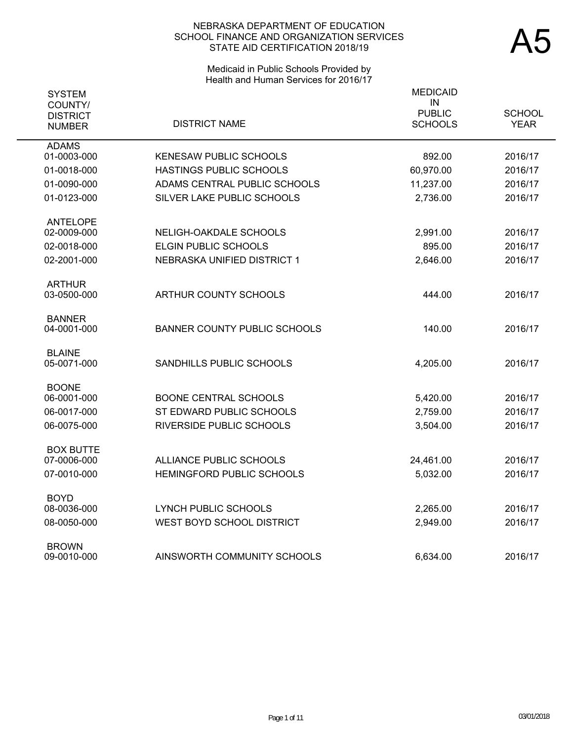# Medicaid in Public Schools Provided by Health and Human Services for 2016/17

| <b>SYSTEM</b><br>COUNTY/<br><b>DISTRICT</b> |                                     | <b>MEDICAID</b><br>IN<br><b>PUBLIC</b> | <b>SCHOOL</b> |
|---------------------------------------------|-------------------------------------|----------------------------------------|---------------|
| <b>NUMBER</b>                               | <b>DISTRICT NAME</b>                | <b>SCHOOLS</b>                         | <b>YEAR</b>   |
| <b>ADAMS</b><br>01-0003-000                 | <b>KENESAW PUBLIC SCHOOLS</b>       | 892.00                                 | 2016/17       |
| 01-0018-000                                 | HASTINGS PUBLIC SCHOOLS             | 60,970.00                              | 2016/17       |
| 01-0090-000                                 | ADAMS CENTRAL PUBLIC SCHOOLS        | 11,237.00                              | 2016/17       |
| 01-0123-000                                 | SILVER LAKE PUBLIC SCHOOLS          | 2,736.00                               | 2016/17       |
| <b>ANTELOPE</b>                             |                                     |                                        |               |
| 02-0009-000                                 | NELIGH-OAKDALE SCHOOLS              | 2,991.00                               | 2016/17       |
| 02-0018-000                                 | <b>ELGIN PUBLIC SCHOOLS</b>         | 895.00                                 | 2016/17       |
| 02-2001-000                                 | NEBRASKA UNIFIED DISTRICT 1         | 2,646.00                               | 2016/17       |
| <b>ARTHUR</b><br>03-0500-000                | ARTHUR COUNTY SCHOOLS               | 444.00                                 | 2016/17       |
|                                             |                                     |                                        |               |
| <b>BANNER</b><br>04-0001-000                | <b>BANNER COUNTY PUBLIC SCHOOLS</b> | 140.00                                 |               |
|                                             |                                     |                                        | 2016/17       |
| <b>BLAINE</b>                               |                                     |                                        |               |
| 05-0071-000                                 | SANDHILLS PUBLIC SCHOOLS            | 4,205.00                               | 2016/17       |
| <b>BOONE</b><br>06-0001-000                 | <b>BOONE CENTRAL SCHOOLS</b>        | 5,420.00                               | 2016/17       |
| 06-0017-000                                 | ST EDWARD PUBLIC SCHOOLS            | 2,759.00                               | 2016/17       |
| 06-0075-000                                 | RIVERSIDE PUBLIC SCHOOLS            |                                        | 2016/17       |
|                                             |                                     | 3,504.00                               |               |
| <b>BOX BUTTE</b><br>07-0006-000             | ALLIANCE PUBLIC SCHOOLS             | 24,461.00                              | 2016/17       |
| 07-0010-000                                 | HEMINGFORD PUBLIC SCHOOLS           | 5,032.00                               | 2016/17       |
|                                             |                                     |                                        |               |
| <b>BOYD</b><br>08-0036-000                  | <b>LYNCH PUBLIC SCHOOLS</b>         | 2,265.00                               | 2016/17       |
| 08-0050-000                                 | WEST BOYD SCHOOL DISTRICT           | 2,949.00                               | 2016/17       |
|                                             |                                     |                                        |               |
| <b>BROWN</b><br>09-0010-000                 | AINSWORTH COMMUNITY SCHOOLS         | 6,634.00                               | 2016/17       |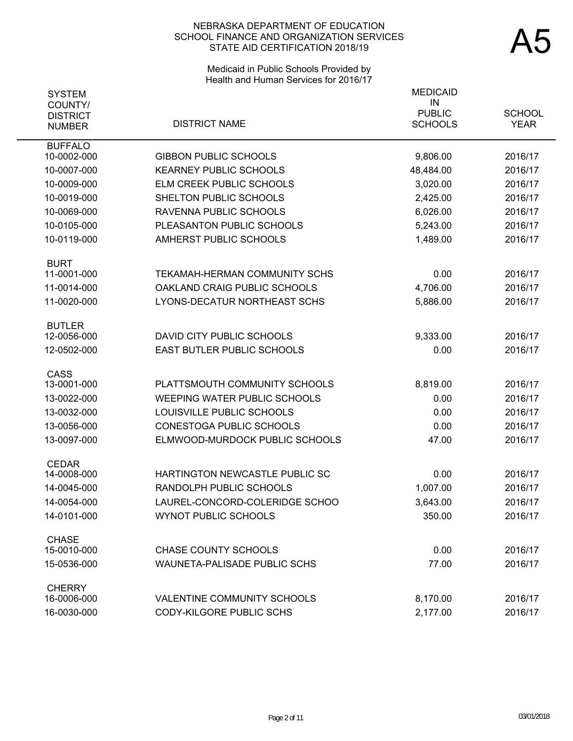# Medicaid in Public Schools Provided by Health and Human Services for 2016/17

| <b>SYSTEM</b>                               |                                     | <b>MEDICAID</b><br>IN           |                              |
|---------------------------------------------|-------------------------------------|---------------------------------|------------------------------|
| COUNTY/<br><b>DISTRICT</b><br><b>NUMBER</b> | <b>DISTRICT NAME</b>                | <b>PUBLIC</b><br><b>SCHOOLS</b> | <b>SCHOOL</b><br><b>YEAR</b> |
| <b>BUFFALO</b><br>10-0002-000               | <b>GIBBON PUBLIC SCHOOLS</b>        | 9,806.00                        | 2016/17                      |
| 10-0007-000                                 | <b>KEARNEY PUBLIC SCHOOLS</b>       | 48,484.00                       | 2016/17                      |
| 10-0009-000                                 | ELM CREEK PUBLIC SCHOOLS            | 3,020.00                        | 2016/17                      |
| 10-0019-000                                 | SHELTON PUBLIC SCHOOLS              | 2,425.00                        | 2016/17                      |
| 10-0069-000                                 | RAVENNA PUBLIC SCHOOLS              | 6,026.00                        | 2016/17                      |
| 10-0105-000                                 | PLEASANTON PUBLIC SCHOOLS           | 5,243.00                        | 2016/17                      |
| 10-0119-000                                 | AMHERST PUBLIC SCHOOLS              | 1,489.00                        | 2016/17                      |
| <b>BURT</b>                                 |                                     |                                 |                              |
| 11-0001-000                                 | TEKAMAH-HERMAN COMMUNITY SCHS       | 0.00                            | 2016/17                      |
| 11-0014-000                                 | OAKLAND CRAIG PUBLIC SCHOOLS        | 4,706.00                        | 2016/17                      |
| 11-0020-000                                 | LYONS-DECATUR NORTHEAST SCHS        | 5,886.00                        | 2016/17                      |
| <b>BUTLER</b>                               |                                     |                                 |                              |
| 12-0056-000                                 | DAVID CITY PUBLIC SCHOOLS           | 9,333.00                        | 2016/17                      |
| 12-0502-000                                 | EAST BUTLER PUBLIC SCHOOLS          | 0.00                            | 2016/17                      |
| CASS<br>13-0001-000                         | PLATTSMOUTH COMMUNITY SCHOOLS       | 8,819.00                        | 2016/17                      |
| 13-0022-000                                 | <b>WEEPING WATER PUBLIC SCHOOLS</b> | 0.00                            | 2016/17                      |
| 13-0032-000                                 | LOUISVILLE PUBLIC SCHOOLS           | 0.00                            | 2016/17                      |
| 13-0056-000                                 | CONESTOGA PUBLIC SCHOOLS            | 0.00                            | 2016/17                      |
| 13-0097-000                                 | ELMWOOD-MURDOCK PUBLIC SCHOOLS      | 47.00                           | 2016/17                      |
|                                             |                                     |                                 |                              |
| <b>CEDAR</b><br>14-0008-000                 | HARTINGTON NEWCASTLE PUBLIC SC      | 0.00                            | 2016/17                      |
| 14-0045-000                                 | RANDOLPH PUBLIC SCHOOLS             | 1,007.00                        | 2016/17                      |
| 14-0054-000                                 | LAUREL-CONCORD-COLERIDGE SCHOO      | 3,643.00                        | 2016/17                      |
| 14-0101-000                                 | <b>WYNOT PUBLIC SCHOOLS</b>         | 350.00                          | 2016/17                      |
| <b>CHASE</b>                                |                                     |                                 |                              |
| 15-0010-000                                 | <b>CHASE COUNTY SCHOOLS</b>         | 0.00                            | 2016/17                      |
| 15-0536-000                                 | <b>WAUNETA-PALISADE PUBLIC SCHS</b> | 77.00                           | 2016/17                      |
| <b>CHERRY</b>                               |                                     |                                 |                              |
| 16-0006-000                                 | <b>VALENTINE COMMUNITY SCHOOLS</b>  | 8,170.00                        | 2016/17                      |
| 16-0030-000                                 | CODY-KILGORE PUBLIC SCHS            | 2,177.00                        | 2016/17                      |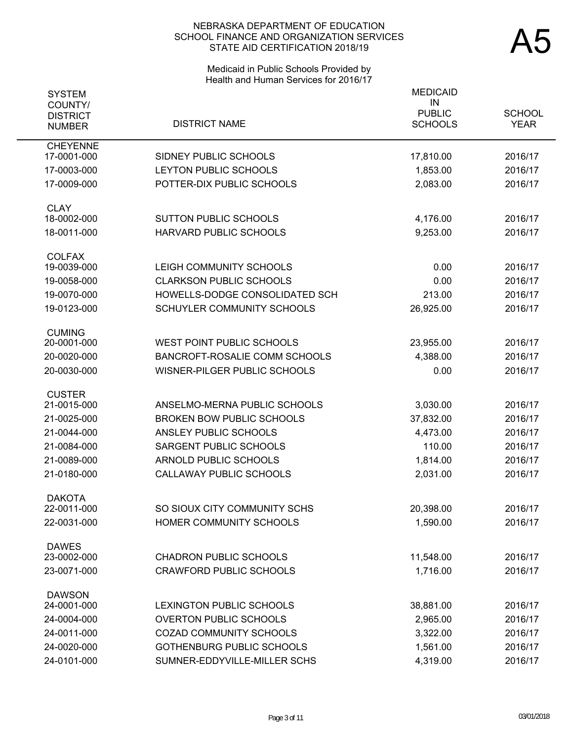# Medicaid in Public Schools Provided by Health and Human Services for 2016/17

| <b>SYSTEM</b><br>COUNTY/       |                                   | <b>MEDICAID</b><br>IN |               |
|--------------------------------|-----------------------------------|-----------------------|---------------|
| <b>DISTRICT</b>                |                                   | <b>PUBLIC</b>         | <b>SCHOOL</b> |
| <b>NUMBER</b>                  | <b>DISTRICT NAME</b>              | <b>SCHOOLS</b>        | <b>YEAR</b>   |
| <b>CHEYENNE</b><br>17-0001-000 | SIDNEY PUBLIC SCHOOLS             | 17,810.00             | 2016/17       |
| 17-0003-000                    | LEYTON PUBLIC SCHOOLS             | 1,853.00              | 2016/17       |
| 17-0009-000                    | POTTER-DIX PUBLIC SCHOOLS         | 2,083.00              | 2016/17       |
|                                |                                   |                       |               |
| <b>CLAY</b>                    |                                   |                       |               |
| 18-0002-000                    | <b>SUTTON PUBLIC SCHOOLS</b>      | 4,176.00              | 2016/17       |
| 18-0011-000                    | HARVARD PUBLIC SCHOOLS            | 9,253.00              | 2016/17       |
| <b>COLFAX</b>                  |                                   |                       |               |
| 19-0039-000                    | LEIGH COMMUNITY SCHOOLS           | 0.00                  | 2016/17       |
| 19-0058-000                    | <b>CLARKSON PUBLIC SCHOOLS</b>    | 0.00                  | 2016/17       |
| 19-0070-000                    | HOWELLS-DODGE CONSOLIDATED SCH    | 213.00                | 2016/17       |
| 19-0123-000                    | <b>SCHUYLER COMMUNITY SCHOOLS</b> | 26,925.00             | 2016/17       |
| <b>CUMING</b>                  |                                   |                       |               |
| 20-0001-000                    | <b>WEST POINT PUBLIC SCHOOLS</b>  | 23,955.00             | 2016/17       |
| 20-0020-000                    | BANCROFT-ROSALIE COMM SCHOOLS     | 4,388.00              | 2016/17       |
| 20-0030-000                    | WISNER-PILGER PUBLIC SCHOOLS      | 0.00                  | 2016/17       |
| <b>CUSTER</b>                  |                                   |                       |               |
| 21-0015-000                    | ANSELMO-MERNA PUBLIC SCHOOLS      | 3,030.00              | 2016/17       |
| 21-0025-000                    | <b>BROKEN BOW PUBLIC SCHOOLS</b>  | 37,832.00             | 2016/17       |
| 21-0044-000                    | ANSLEY PUBLIC SCHOOLS             | 4,473.00              | 2016/17       |
| 21-0084-000                    | SARGENT PUBLIC SCHOOLS            | 110.00                | 2016/17       |
| 21-0089-000                    | <b>ARNOLD PUBLIC SCHOOLS</b>      | 1,814.00              | 2016/17       |
| 21-0180-000                    | <b>CALLAWAY PUBLIC SCHOOLS</b>    | 2,031.00              | 2016/17       |
| <b>DAKOTA</b>                  |                                   |                       |               |
| 22-0011-000                    | SO SIOUX CITY COMMUNITY SCHS      | 20,398.00             | 2016/17       |
| 22-0031-000                    | HOMER COMMUNITY SCHOOLS           | 1,590.00              | 2016/17       |
| <b>DAWES</b>                   |                                   |                       |               |
| 23-0002-000                    | <b>CHADRON PUBLIC SCHOOLS</b>     | 11,548.00             | 2016/17       |
| 23-0071-000                    | <b>CRAWFORD PUBLIC SCHOOLS</b>    | 1,716.00              | 2016/17       |
| <b>DAWSON</b>                  |                                   |                       |               |
| 24-0001-000                    | LEXINGTON PUBLIC SCHOOLS          | 38,881.00             | 2016/17       |
| 24-0004-000                    | <b>OVERTON PUBLIC SCHOOLS</b>     | 2,965.00              | 2016/17       |
| 24-0011-000                    | <b>COZAD COMMUNITY SCHOOLS</b>    | 3,322.00              | 2016/17       |
| 24-0020-000                    | GOTHENBURG PUBLIC SCHOOLS         | 1,561.00              | 2016/17       |
| 24-0101-000                    | SUMNER-EDDYVILLE-MILLER SCHS      | 4,319.00              | 2016/17       |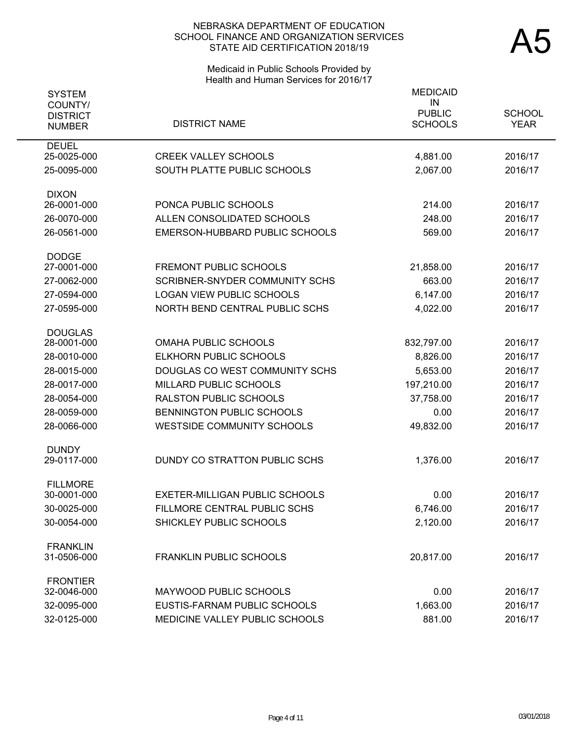# Medicaid in Public Schools Provided by Health and Human Services for 2016/17

| <b>SYSTEM</b><br>COUNTY/    |                                                    | <b>MEDICAID</b><br>IN |               |
|-----------------------------|----------------------------------------------------|-----------------------|---------------|
| <b>DISTRICT</b>             | <b>DISTRICT NAME</b>                               | <b>PUBLIC</b>         | <b>SCHOOL</b> |
| <b>NUMBER</b>               |                                                    | <b>SCHOOLS</b>        | <b>YEAR</b>   |
| <b>DEUEL</b><br>25-0025-000 | <b>CREEK VALLEY SCHOOLS</b>                        | 4,881.00              | 2016/17       |
| 25-0095-000                 | SOUTH PLATTE PUBLIC SCHOOLS                        | 2,067.00              | 2016/17       |
|                             |                                                    |                       |               |
| <b>DIXON</b>                |                                                    |                       |               |
| 26-0001-000                 | PONCA PUBLIC SCHOOLS<br>ALLEN CONSOLIDATED SCHOOLS | 214.00                | 2016/17       |
| 26-0070-000                 |                                                    | 248.00                | 2016/17       |
| 26-0561-000                 | EMERSON-HUBBARD PUBLIC SCHOOLS                     | 569.00                | 2016/17       |
| <b>DODGE</b>                |                                                    |                       |               |
| 27-0001-000                 | <b>FREMONT PUBLIC SCHOOLS</b>                      | 21,858.00             | 2016/17       |
| 27-0062-000                 | <b>SCRIBNER-SNYDER COMMUNITY SCHS</b>              | 663.00                | 2016/17       |
| 27-0594-000                 | <b>LOGAN VIEW PUBLIC SCHOOLS</b>                   | 6,147.00              | 2016/17       |
| 27-0595-000                 | NORTH BEND CENTRAL PUBLIC SCHS                     | 4,022.00              | 2016/17       |
| <b>DOUGLAS</b>              |                                                    |                       |               |
| 28-0001-000                 | <b>OMAHA PUBLIC SCHOOLS</b>                        | 832,797.00            | 2016/17       |
| 28-0010-000                 | ELKHORN PUBLIC SCHOOLS                             | 8,826.00              | 2016/17       |
| 28-0015-000                 | DOUGLAS CO WEST COMMUNITY SCHS                     | 5,653.00              | 2016/17       |
| 28-0017-000                 | MILLARD PUBLIC SCHOOLS                             | 197,210.00            | 2016/17       |
| 28-0054-000                 | <b>RALSTON PUBLIC SCHOOLS</b>                      | 37,758.00             | 2016/17       |
| 28-0059-000                 | BENNINGTON PUBLIC SCHOOLS                          | 0.00                  | 2016/17       |
| 28-0066-000                 | <b>WESTSIDE COMMUNITY SCHOOLS</b>                  | 49,832.00             | 2016/17       |
| <b>DUNDY</b>                |                                                    |                       |               |
| 29-0117-000                 | DUNDY CO STRATTON PUBLIC SCHS                      | 1,376.00              | 2016/17       |
| <b>FILLMORE</b>             |                                                    |                       |               |
| 30-0001-000                 | EXETER-MILLIGAN PUBLIC SCHOOLS                     | 0.00                  | 2016/17       |
| 30-0025-000                 | FILLMORE CENTRAL PUBLIC SCHS                       | 6,746.00              | 2016/17       |
| 30-0054-000                 | SHICKLEY PUBLIC SCHOOLS                            | 2,120.00              | 2016/17       |
| <b>FRANKLIN</b>             |                                                    |                       |               |
| 31-0506-000                 | FRANKLIN PUBLIC SCHOOLS                            | 20,817.00             | 2016/17       |
| <b>FRONTIER</b>             |                                                    |                       |               |
| 32-0046-000                 | MAYWOOD PUBLIC SCHOOLS                             | 0.00                  | 2016/17       |
| 32-0095-000                 | EUSTIS-FARNAM PUBLIC SCHOOLS                       | 1,663.00              | 2016/17       |
| 32-0125-000                 | MEDICINE VALLEY PUBLIC SCHOOLS                     | 881.00                | 2016/17       |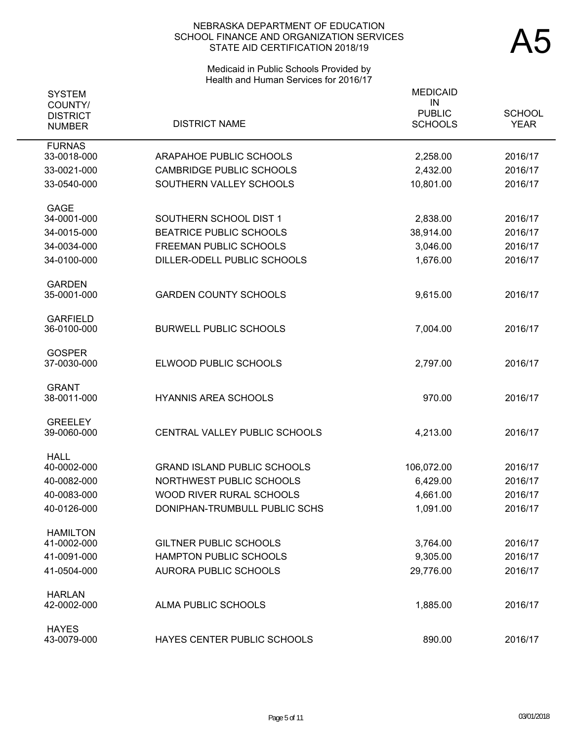# Medicaid in Public Schools Provided by Health and Human Services for 2016/17

| <b>SYSTEM</b><br>COUNTY/<br><b>DISTRICT</b><br><b>NUMBER</b> | <b>DISTRICT NAME</b>               | <b>MEDICAID</b><br>IN<br><b>PUBLIC</b><br><b>SCHOOLS</b> | <b>SCHOOL</b><br><b>YEAR</b> |
|--------------------------------------------------------------|------------------------------------|----------------------------------------------------------|------------------------------|
| <b>FURNAS</b>                                                |                                    |                                                          |                              |
| 33-0018-000                                                  | ARAPAHOE PUBLIC SCHOOLS            | 2,258.00                                                 | 2016/17                      |
| 33-0021-000                                                  | <b>CAMBRIDGE PUBLIC SCHOOLS</b>    | 2,432.00                                                 | 2016/17                      |
| 33-0540-000                                                  | SOUTHERN VALLEY SCHOOLS            | 10,801.00                                                | 2016/17                      |
| <b>GAGE</b>                                                  |                                    |                                                          |                              |
| 34-0001-000                                                  | SOUTHERN SCHOOL DIST 1             | 2,838.00                                                 | 2016/17                      |
| 34-0015-000                                                  | <b>BEATRICE PUBLIC SCHOOLS</b>     | 38,914.00                                                | 2016/17                      |
| 34-0034-000                                                  | <b>FREEMAN PUBLIC SCHOOLS</b>      | 3,046.00                                                 | 2016/17                      |
| 34-0100-000                                                  | DILLER-ODELL PUBLIC SCHOOLS        | 1,676.00                                                 | 2016/17                      |
| <b>GARDEN</b>                                                |                                    |                                                          |                              |
| 35-0001-000                                                  | <b>GARDEN COUNTY SCHOOLS</b>       | 9,615.00                                                 | 2016/17                      |
| <b>GARFIELD</b>                                              |                                    |                                                          |                              |
| 36-0100-000                                                  | <b>BURWELL PUBLIC SCHOOLS</b>      | 7,004.00                                                 | 2016/17                      |
| <b>GOSPER</b>                                                |                                    |                                                          |                              |
| 37-0030-000                                                  | ELWOOD PUBLIC SCHOOLS              | 2,797.00                                                 | 2016/17                      |
| <b>GRANT</b>                                                 |                                    |                                                          |                              |
| 38-0011-000                                                  | <b>HYANNIS AREA SCHOOLS</b>        | 970.00                                                   | 2016/17                      |
| <b>GREELEY</b><br>39-0060-000                                | CENTRAL VALLEY PUBLIC SCHOOLS      | 4,213.00                                                 | 2016/17                      |
|                                                              |                                    |                                                          |                              |
| <b>HALL</b><br>40-0002-000                                   | <b>GRAND ISLAND PUBLIC SCHOOLS</b> | 106,072.00                                               | 2016/17                      |
| 40-0082-000                                                  | NORTHWEST PUBLIC SCHOOLS           | 6,429.00                                                 | 2016/17                      |
| 40-0083-000                                                  | WOOD RIVER RURAL SCHOOLS           | 4,661.00                                                 | 2016/17                      |
| 40-0126-000                                                  | DONIPHAN-TRUMBULL PUBLIC SCHS      | 1,091.00                                                 | 2016/17                      |
| <b>HAMILTON</b>                                              |                                    |                                                          |                              |
| 41-0002-000                                                  | <b>GILTNER PUBLIC SCHOOLS</b>      | 3,764.00                                                 | 2016/17                      |
| 41-0091-000                                                  | <b>HAMPTON PUBLIC SCHOOLS</b>      | 9,305.00                                                 | 2016/17                      |
| 41-0504-000                                                  | <b>AURORA PUBLIC SCHOOLS</b>       | 29,776.00                                                | 2016/17                      |
| <b>HARLAN</b>                                                |                                    |                                                          |                              |
| 42-0002-000                                                  | ALMA PUBLIC SCHOOLS                | 1,885.00                                                 | 2016/17                      |
| <b>HAYES</b><br>43-0079-000                                  | HAYES CENTER PUBLIC SCHOOLS        | 890.00                                                   | 2016/17                      |
|                                                              |                                    |                                                          |                              |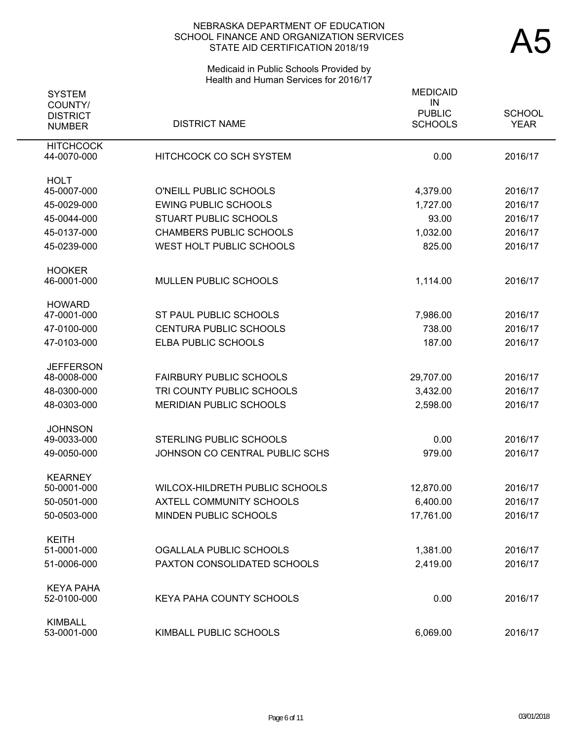# Medicaid in Public Schools Provided by Health and Human Services for 2016/17

| <b>SYSTEM</b>                               |                                 | <b>MEDICAID</b>                       |                              |
|---------------------------------------------|---------------------------------|---------------------------------------|------------------------------|
| COUNTY/<br><b>DISTRICT</b><br><b>NUMBER</b> | <b>DISTRICT NAME</b>            | IN<br><b>PUBLIC</b><br><b>SCHOOLS</b> | <b>SCHOOL</b><br><b>YEAR</b> |
| <b>HITCHCOCK</b>                            |                                 |                                       |                              |
| 44-0070-000                                 | <b>HITCHCOCK CO SCH SYSTEM</b>  | 0.00                                  | 2016/17                      |
| <b>HOLT</b>                                 |                                 |                                       |                              |
| 45-0007-000                                 | O'NEILL PUBLIC SCHOOLS          | 4,379.00                              | 2016/17                      |
| 45-0029-000                                 | <b>EWING PUBLIC SCHOOLS</b>     | 1,727.00                              | 2016/17                      |
| 45-0044-000                                 | <b>STUART PUBLIC SCHOOLS</b>    | 93.00                                 | 2016/17                      |
| 45-0137-000                                 | <b>CHAMBERS PUBLIC SCHOOLS</b>  | 1,032.00                              | 2016/17                      |
| 45-0239-000                                 | WEST HOLT PUBLIC SCHOOLS        | 825.00                                | 2016/17                      |
| <b>HOOKER</b>                               |                                 |                                       |                              |
| 46-0001-000                                 | MULLEN PUBLIC SCHOOLS           | 1,114.00                              | 2016/17                      |
| <b>HOWARD</b>                               |                                 |                                       |                              |
| 47-0001-000                                 | ST PAUL PUBLIC SCHOOLS          | 7,986.00                              | 2016/17                      |
| 47-0100-000                                 | <b>CENTURA PUBLIC SCHOOLS</b>   | 738.00                                | 2016/17                      |
| 47-0103-000                                 | ELBA PUBLIC SCHOOLS             | 187.00                                | 2016/17                      |
| <b>JEFFERSON</b>                            |                                 |                                       |                              |
| 48-0008-000                                 | <b>FAIRBURY PUBLIC SCHOOLS</b>  | 29,707.00                             | 2016/17                      |
| 48-0300-000                                 | TRI COUNTY PUBLIC SCHOOLS       | 3,432.00                              | 2016/17                      |
| 48-0303-000                                 | <b>MERIDIAN PUBLIC SCHOOLS</b>  | 2,598.00                              | 2016/17                      |
| <b>JOHNSON</b>                              |                                 |                                       |                              |
| 49-0033-000                                 | <b>STERLING PUBLIC SCHOOLS</b>  | 0.00                                  | 2016/17                      |
| 49-0050-000                                 | JOHNSON CO CENTRAL PUBLIC SCHS  | 979.00                                | 2016/17                      |
| <b>KEARNEY</b>                              |                                 |                                       |                              |
| 50-0001-000                                 | WILCOX-HILDRETH PUBLIC SCHOOLS  | 12,870.00                             | 2016/17                      |
| 50-0501-000                                 | <b>AXTELL COMMUNITY SCHOOLS</b> | 6,400.00                              | 2016/17                      |
| 50-0503-000                                 | <b>MINDEN PUBLIC SCHOOLS</b>    | 17,761.00                             | 2016/17                      |
| <b>KEITH</b>                                |                                 |                                       |                              |
| 51-0001-000                                 | OGALLALA PUBLIC SCHOOLS         | 1,381.00                              | 2016/17                      |
| 51-0006-000                                 | PAXTON CONSOLIDATED SCHOOLS     | 2,419.00                              | 2016/17                      |
| <b>KEYA PAHA</b><br>52-0100-000             | <b>KEYA PAHA COUNTY SCHOOLS</b> | 0.00                                  | 2016/17                      |
|                                             |                                 |                                       |                              |
| <b>KIMBALL</b><br>53-0001-000               | KIMBALL PUBLIC SCHOOLS          | 6,069.00                              | 2016/17                      |
|                                             |                                 |                                       |                              |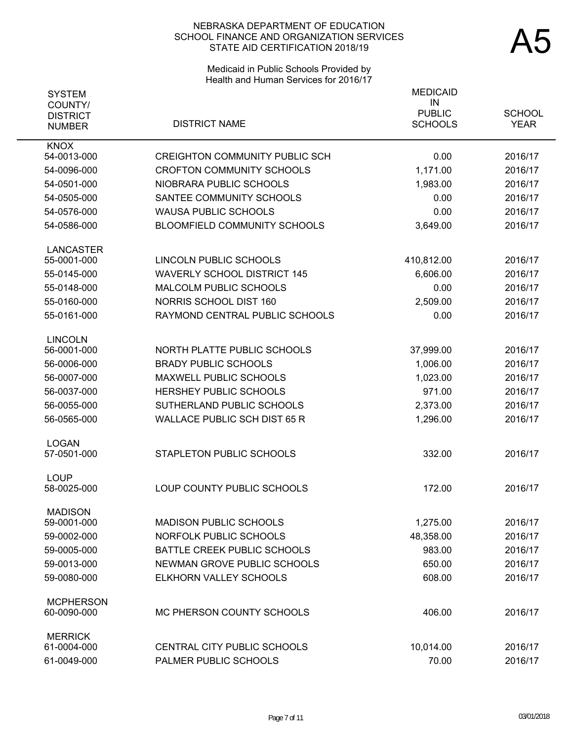# Medicaid in Public Schools Provided by Health and Human Services for 2016/17

| <b>SYSTEM</b>                               |                                       | <b>MEDICAID</b>                       |                              |
|---------------------------------------------|---------------------------------------|---------------------------------------|------------------------------|
| COUNTY/<br><b>DISTRICT</b><br><b>NUMBER</b> | <b>DISTRICT NAME</b>                  | IN<br><b>PUBLIC</b><br><b>SCHOOLS</b> | <b>SCHOOL</b><br><b>YEAR</b> |
| <b>KNOX</b>                                 |                                       |                                       |                              |
| 54-0013-000                                 | <b>CREIGHTON COMMUNITY PUBLIC SCH</b> | 0.00                                  | 2016/17                      |
| 54-0096-000                                 | <b>CROFTON COMMUNITY SCHOOLS</b>      | 1,171.00                              | 2016/17                      |
| 54-0501-000                                 | NIOBRARA PUBLIC SCHOOLS               | 1,983.00                              | 2016/17                      |
| 54-0505-000                                 | SANTEE COMMUNITY SCHOOLS              | 0.00                                  | 2016/17                      |
| 54-0576-000                                 | <b>WAUSA PUBLIC SCHOOLS</b>           | 0.00                                  | 2016/17                      |
| 54-0586-000                                 | BLOOMFIELD COMMUNITY SCHOOLS          | 3,649.00                              | 2016/17                      |
| <b>LANCASTER</b>                            |                                       |                                       |                              |
| 55-0001-000                                 | LINCOLN PUBLIC SCHOOLS                | 410,812.00                            | 2016/17                      |
| 55-0145-000                                 | <b>WAVERLY SCHOOL DISTRICT 145</b>    | 6,606.00                              | 2016/17                      |
| 55-0148-000                                 | MALCOLM PUBLIC SCHOOLS                | 0.00                                  | 2016/17                      |
| 55-0160-000                                 | <b>NORRIS SCHOOL DIST 160</b>         | 2,509.00                              | 2016/17                      |
| 55-0161-000                                 | RAYMOND CENTRAL PUBLIC SCHOOLS        | 0.00                                  | 2016/17                      |
| <b>LINCOLN</b>                              |                                       |                                       |                              |
| 56-0001-000                                 | NORTH PLATTE PUBLIC SCHOOLS           | 37,999.00                             | 2016/17                      |
| 56-0006-000                                 | <b>BRADY PUBLIC SCHOOLS</b>           | 1,006.00                              | 2016/17                      |
| 56-0007-000                                 | <b>MAXWELL PUBLIC SCHOOLS</b>         | 1,023.00                              | 2016/17                      |
| 56-0037-000                                 | <b>HERSHEY PUBLIC SCHOOLS</b>         | 971.00                                | 2016/17                      |
| 56-0055-000                                 | SUTHERLAND PUBLIC SCHOOLS             | 2,373.00                              | 2016/17                      |
| 56-0565-000                                 | <b>WALLACE PUBLIC SCH DIST 65 R</b>   | 1,296.00                              | 2016/17                      |
| <b>LOGAN</b>                                |                                       |                                       |                              |
| 57-0501-000                                 | STAPLETON PUBLIC SCHOOLS              | 332.00                                | 2016/17                      |
| <b>LOUP</b><br>58-0025-000                  | LOUP COUNTY PUBLIC SCHOOLS            | 172.00                                | 2016/17                      |
| <b>MADISON</b>                              |                                       |                                       |                              |
| 59-0001-000                                 | <b>MADISON PUBLIC SCHOOLS</b>         | 1,275.00                              | 2016/17                      |
| 59-0002-000                                 | NORFOLK PUBLIC SCHOOLS                | 48,358.00                             | 2016/17                      |
| 59-0005-000                                 | <b>BATTLE CREEK PUBLIC SCHOOLS</b>    | 983.00                                | 2016/17                      |
| 59-0013-000                                 | NEWMAN GROVE PUBLIC SCHOOLS           | 650.00                                | 2016/17                      |
| 59-0080-000                                 | ELKHORN VALLEY SCHOOLS                | 608.00                                | 2016/17                      |
| <b>MCPHERSON</b>                            |                                       |                                       |                              |
| 60-0090-000                                 | MC PHERSON COUNTY SCHOOLS             | 406.00                                | 2016/17                      |
| <b>MERRICK</b><br>61-0004-000               | CENTRAL CITY PUBLIC SCHOOLS           |                                       |                              |
| 61-0049-000                                 | PALMER PUBLIC SCHOOLS                 | 10,014.00<br>70.00                    | 2016/17<br>2016/17           |
|                                             |                                       |                                       |                              |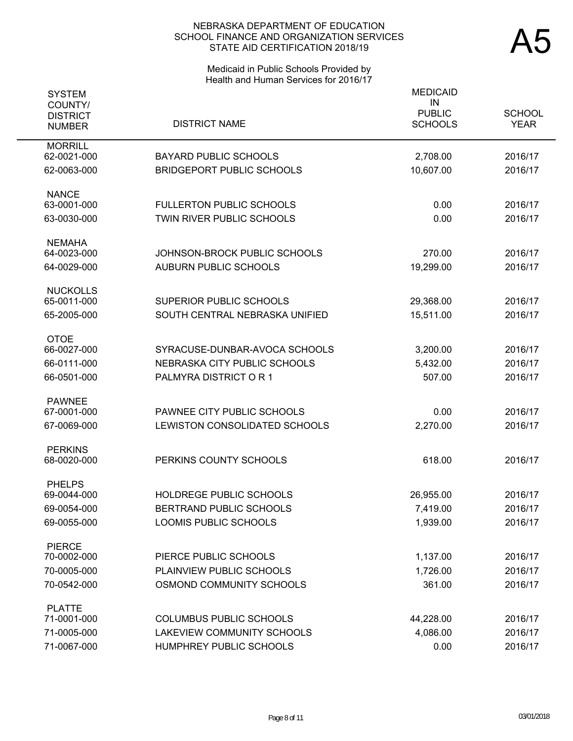# Medicaid in Public Schools Provided by Health and Human Services for 2016/17

| <b>SYSTEM</b><br>COUNTY/<br><b>DISTRICT</b><br><b>NUMBER</b> | <b>DISTRICT NAME</b>                                         | <b>MEDICAID</b><br>IN<br><b>PUBLIC</b><br><b>SCHOOLS</b> | <b>SCHOOL</b><br><b>YEAR</b> |
|--------------------------------------------------------------|--------------------------------------------------------------|----------------------------------------------------------|------------------------------|
| <b>MORRILL</b><br>62-0021-000                                | <b>BAYARD PUBLIC SCHOOLS</b>                                 | 2,708.00                                                 | 2016/17                      |
| 62-0063-000                                                  | <b>BRIDGEPORT PUBLIC SCHOOLS</b>                             | 10,607.00                                                | 2016/17                      |
| <b>NANCE</b>                                                 |                                                              |                                                          |                              |
| 63-0001-000<br>63-0030-000                                   | <b>FULLERTON PUBLIC SCHOOLS</b><br>TWIN RIVER PUBLIC SCHOOLS | 0.00<br>0.00                                             | 2016/17<br>2016/17           |
| <b>NEMAHA</b>                                                |                                                              |                                                          |                              |
| 64-0023-000                                                  | JOHNSON-BROCK PUBLIC SCHOOLS                                 | 270.00                                                   | 2016/17                      |
| 64-0029-000                                                  | <b>AUBURN PUBLIC SCHOOLS</b>                                 | 19,299.00                                                | 2016/17                      |
| <b>NUCKOLLS</b><br>65-0011-000                               | SUPERIOR PUBLIC SCHOOLS                                      |                                                          |                              |
| 65-2005-000                                                  | SOUTH CENTRAL NEBRASKA UNIFIED                               | 29,368.00<br>15,511.00                                   | 2016/17<br>2016/17           |
|                                                              |                                                              |                                                          |                              |
| <b>OTOE</b><br>66-0027-000                                   | SYRACUSE-DUNBAR-AVOCA SCHOOLS                                | 3,200.00                                                 | 2016/17                      |
| 66-0111-000                                                  | NEBRASKA CITY PUBLIC SCHOOLS                                 | 5,432.00                                                 | 2016/17                      |
| 66-0501-000                                                  | PALMYRA DISTRICT OR 1                                        | 507.00                                                   | 2016/17                      |
| <b>PAWNEE</b>                                                |                                                              |                                                          |                              |
| 67-0001-000                                                  | PAWNEE CITY PUBLIC SCHOOLS                                   | 0.00                                                     | 2016/17                      |
| 67-0069-000                                                  | LEWISTON CONSOLIDATED SCHOOLS                                | 2,270.00                                                 | 2016/17                      |
| <b>PERKINS</b><br>68-0020-000                                | PERKINS COUNTY SCHOOLS                                       | 618.00                                                   | 2016/17                      |
|                                                              |                                                              |                                                          |                              |
| <b>PHELPS</b><br>69-0044-000                                 | HOLDREGE PUBLIC SCHOOLS                                      | 26,955.00                                                | 2016/17                      |
| 69-0054-000                                                  | BERTRAND PUBLIC SCHOOLS                                      | 7,419.00                                                 | 2016/17                      |
| 69-0055-000                                                  | LOOMIS PUBLIC SCHOOLS                                        | 1,939.00                                                 | 2016/17                      |
| <b>PIERCE</b>                                                |                                                              |                                                          |                              |
| 70-0002-000                                                  | PIERCE PUBLIC SCHOOLS                                        | 1,137.00                                                 | 2016/17                      |
| 70-0005-000                                                  | PLAINVIEW PUBLIC SCHOOLS                                     | 1,726.00                                                 | 2016/17                      |
| 70-0542-000                                                  | OSMOND COMMUNITY SCHOOLS                                     | 361.00                                                   | 2016/17                      |
| <b>PLATTE</b><br>71-0001-000                                 | <b>COLUMBUS PUBLIC SCHOOLS</b>                               | 44,228.00                                                | 2016/17                      |
| 71-0005-000                                                  | LAKEVIEW COMMUNITY SCHOOLS                                   | 4,086.00                                                 | 2016/17                      |
| 71-0067-000                                                  | HUMPHREY PUBLIC SCHOOLS                                      | 0.00                                                     | 2016/17                      |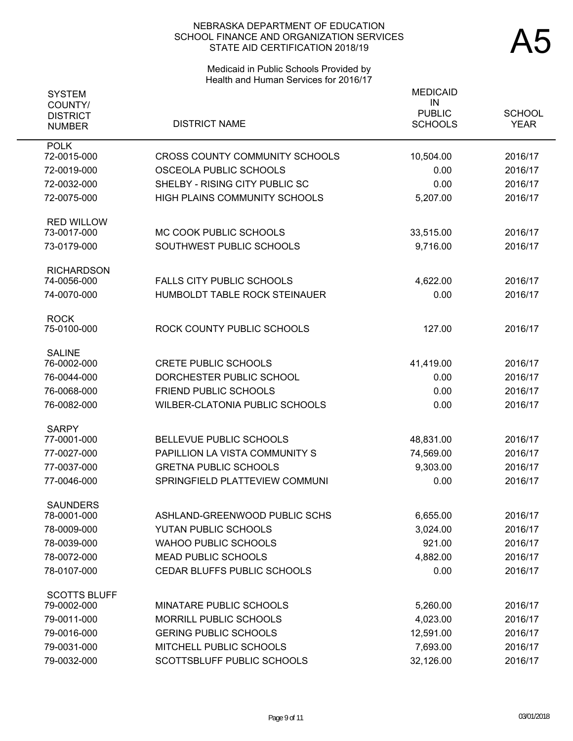# Medicaid in Public Schools Provided by Health and Human Services for 2016/17

| <b>SYSTEM</b>              |                                       | <b>MEDICAID</b>     |               |
|----------------------------|---------------------------------------|---------------------|---------------|
| COUNTY/<br><b>DISTRICT</b> |                                       | IN<br><b>PUBLIC</b> | <b>SCHOOL</b> |
| <b>NUMBER</b>              | <b>DISTRICT NAME</b>                  | <b>SCHOOLS</b>      | <b>YEAR</b>   |
| <b>POLK</b>                |                                       |                     |               |
| 72-0015-000                | <b>CROSS COUNTY COMMUNITY SCHOOLS</b> | 10,504.00           | 2016/17       |
| 72-0019-000                | OSCEOLA PUBLIC SCHOOLS                | 0.00                | 2016/17       |
| 72-0032-000                | SHELBY - RISING CITY PUBLIC SC        | 0.00                | 2016/17       |
| 72-0075-000                | HIGH PLAINS COMMUNITY SCHOOLS         | 5,207.00            | 2016/17       |
| <b>RED WILLOW</b>          |                                       |                     |               |
| 73-0017-000                | MC COOK PUBLIC SCHOOLS                | 33,515.00           | 2016/17       |
| 73-0179-000                | SOUTHWEST PUBLIC SCHOOLS              | 9,716.00            | 2016/17       |
| <b>RICHARDSON</b>          |                                       |                     |               |
| 74-0056-000                | <b>FALLS CITY PUBLIC SCHOOLS</b>      | 4,622.00            | 2016/17       |
| 74-0070-000                | HUMBOLDT TABLE ROCK STEINAUER         | 0.00                | 2016/17       |
| <b>ROCK</b>                |                                       |                     |               |
| 75-0100-000                | ROCK COUNTY PUBLIC SCHOOLS            | 127.00              | 2016/17       |
| <b>SALINE</b>              |                                       |                     |               |
| 76-0002-000                | <b>CRETE PUBLIC SCHOOLS</b>           | 41,419.00           | 2016/17       |
| 76-0044-000                | DORCHESTER PUBLIC SCHOOL              | 0.00                | 2016/17       |
| 76-0068-000                | <b>FRIEND PUBLIC SCHOOLS</b>          | 0.00                | 2016/17       |
| 76-0082-000                | WILBER-CLATONIA PUBLIC SCHOOLS        | 0.00                | 2016/17       |
| <b>SARPY</b>               |                                       |                     |               |
| 77-0001-000                | BELLEVUE PUBLIC SCHOOLS               | 48,831.00           | 2016/17       |
| 77-0027-000                | PAPILLION LA VISTA COMMUNITY S        | 74,569.00           | 2016/17       |
| 77-0037-000                | <b>GRETNA PUBLIC SCHOOLS</b>          | 9,303.00            | 2016/17       |
| 77-0046-000                | SPRINGFIELD PLATTEVIEW COMMUNI        | 0.00                | 2016/17       |
| <b>SAUNDERS</b>            |                                       |                     |               |
| 78-0001-000                | ASHLAND-GREENWOOD PUBLIC SCHS         | 6,655.00            | 2016/17       |
| 78-0009-000                | YUTAN PUBLIC SCHOOLS                  | 3,024.00            | 2016/17       |
| 78-0039-000                | <b>WAHOO PUBLIC SCHOOLS</b>           | 921.00              | 2016/17       |
| 78-0072-000                | <b>MEAD PUBLIC SCHOOLS</b>            | 4,882.00            | 2016/17       |
| 78-0107-000                | CEDAR BLUFFS PUBLIC SCHOOLS           | 0.00                | 2016/17       |
| <b>SCOTTS BLUFF</b>        |                                       |                     |               |
| 79-0002-000                | MINATARE PUBLIC SCHOOLS               | 5,260.00            | 2016/17       |
| 79-0011-000                | MORRILL PUBLIC SCHOOLS                | 4,023.00            | 2016/17       |
| 79-0016-000                | <b>GERING PUBLIC SCHOOLS</b>          | 12,591.00           | 2016/17       |
| 79-0031-000                | MITCHELL PUBLIC SCHOOLS               | 7,693.00            | 2016/17       |
| 79-0032-000                | SCOTTSBLUFF PUBLIC SCHOOLS            | 32,126.00           | 2016/17       |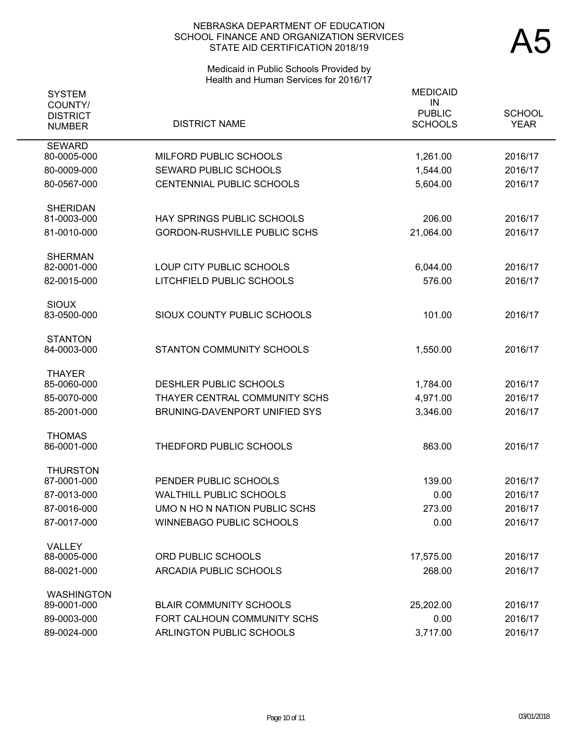# Medicaid in Public Schools Provided by Health and Human Services for 2016/17

| <b>SYSTEM</b><br>COUNTY/         |                                     | <b>MEDICAID</b><br>IN<br><b>PUBLIC</b> | <b>SCHOOL</b> |
|----------------------------------|-------------------------------------|----------------------------------------|---------------|
| <b>DISTRICT</b><br><b>NUMBER</b> | <b>DISTRICT NAME</b>                | <b>SCHOOLS</b>                         | <b>YEAR</b>   |
| <b>SEWARD</b><br>80-0005-000     | MILFORD PUBLIC SCHOOLS              | 1,261.00                               | 2016/17       |
| 80-0009-000                      | SEWARD PUBLIC SCHOOLS               | 1,544.00                               | 2016/17       |
| 80-0567-000                      | CENTENNIAL PUBLIC SCHOOLS           | 5,604.00                               | 2016/17       |
| <b>SHERIDAN</b><br>81-0003-000   | <b>HAY SPRINGS PUBLIC SCHOOLS</b>   | 206.00                                 | 2016/17       |
| 81-0010-000                      | <b>GORDON-RUSHVILLE PUBLIC SCHS</b> | 21,064.00                              | 2016/17       |
|                                  |                                     |                                        |               |
| <b>SHERMAN</b><br>82-0001-000    | LOUP CITY PUBLIC SCHOOLS            | 6,044.00                               | 2016/17       |
| 82-0015-000                      | LITCHFIELD PUBLIC SCHOOLS           | 576.00                                 | 2016/17       |
| <b>SIOUX</b>                     |                                     |                                        |               |
| 83-0500-000                      | SIOUX COUNTY PUBLIC SCHOOLS         | 101.00                                 | 2016/17       |
| <b>STANTON</b><br>84-0003-000    | STANTON COMMUNITY SCHOOLS           | 1,550.00                               | 2016/17       |
|                                  |                                     |                                        |               |
| <b>THAYER</b><br>85-0060-000     | DESHLER PUBLIC SCHOOLS              | 1,784.00                               | 2016/17       |
| 85-0070-000                      | THAYER CENTRAL COMMUNITY SCHS       | 4,971.00                               | 2016/17       |
| 85-2001-000                      | BRUNING-DAVENPORT UNIFIED SYS       | 3,346.00                               | 2016/17       |
| <b>THOMAS</b>                    |                                     |                                        |               |
| 86-0001-000                      | THEDFORD PUBLIC SCHOOLS             | 863.00                                 | 2016/17       |
| <b>THURSTON</b><br>87-0001-000   | PENDER PUBLIC SCHOOLS               | 139.00                                 | 2016/17       |
| 87-0013-000                      | <b>WALTHILL PUBLIC SCHOOLS</b>      | 0.00                                   | 2016/17       |
| 87-0016-000                      | UMO N HO N NATION PUBLIC SCHS       | 273.00                                 | 2016/17       |
| 87-0017-000                      | <b>WINNEBAGO PUBLIC SCHOOLS</b>     | 0.00                                   | 2016/17       |
| VALLEY                           |                                     |                                        |               |
| 88-0005-000                      | ORD PUBLIC SCHOOLS                  | 17,575.00                              | 2016/17       |
| 88-0021-000                      | ARCADIA PUBLIC SCHOOLS              | 268.00                                 | 2016/17       |
| <b>WASHINGTON</b>                |                                     |                                        |               |
| 89-0001-000                      | <b>BLAIR COMMUNITY SCHOOLS</b>      | 25,202.00                              | 2016/17       |
| 89-0003-000                      | FORT CALHOUN COMMUNITY SCHS         | 0.00                                   | 2016/17       |
| 89-0024-000                      | ARLINGTON PUBLIC SCHOOLS            | 3,717.00                               | 2016/17       |